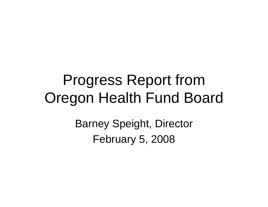#### Progress Report from Oregon Health Fund Board

Barney Speight, Director February 5, 2008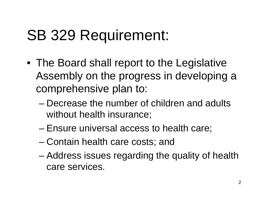#### SB 329 Requirement:

- The Board shall report to the Legislative Assembly on the progress in developing a comprehensive plan to:
	- Decrease the number of children and adults without health insurance;
	- Ensure universal access to health care;
	- Contain health care costs; and
	- Address issues regarding the quality of health care services.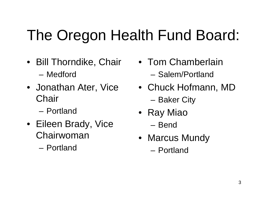## The Oregon Health Fund Board:

- Bill Thorndike, Chair – Medford
- Jonathan Ater, Vice **Chair** 
	- Portland
- Eileen Brady, Vice Chairwoman
	- Portland
- Tom Chamberlain– Salem/Portland
- Chuck Hofmann, MD – Baker City
- Ray Miao
	- Bend
- Marcus Mundy
	- Portland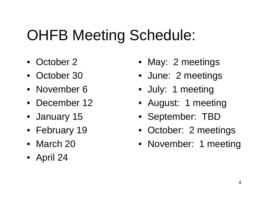# OHFB Meeting Schedule:

- October 2
- October 30
- November 6
- December 12
- January 15
- February 19
- March 20
- April 24
- May: 2 meetings
- June: 2 meetings
- July: 1 meeting
- August: 1 meeting
- September: TBD
- October: 2 meetings
- November: 1 meeting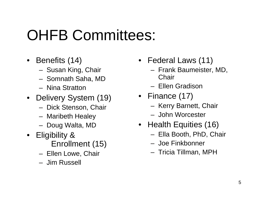### OHFB Committees:

- Benefits (14)
	- Susan King, Chair
	- Somnath Saha, MD
	- Nina Stratton
- Delivery System (19)
	- Dick Stenson, Chair
	- Maribeth Healey
	- Doug Walta, MD
- Eligibility &
	- Enrollment (15)
	- Ellen Lowe, Chair
	- Jim Russell
- Federal Laws (11)
	- Frank Baumeister, MD, **Chair**
	- Ellen Gradison
- Finance (17)
	- Kerry Barnett, Chair
	- John Worcester
- Health Equities (16)
	- Ella Booth, PhD, Chair
	- Joe Finkbonner
	- Tricia Tillman, MPH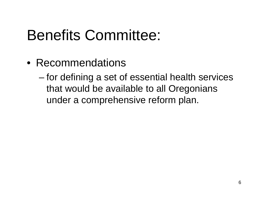### Benefits Committee:

• Recommendations

– for defining a set of essential health services that would be available to all Oregonians under a comprehensive reform plan.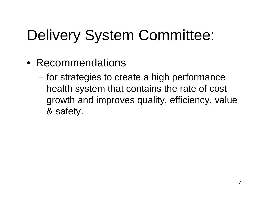# Delivery System Committee:

- Recommendations
	- for strategies to create a high performance health system that contains the rate of cost growth and improves quality, efficiency, value & safety.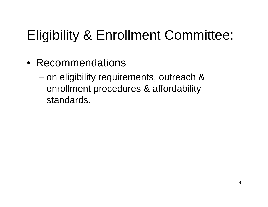#### Eligibility & Enrollment Committee:

• Recommendations

– on eligibility requirements, outreach & enrollment procedures & affordability standards.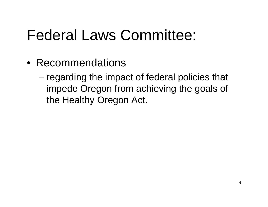### Federal Laws Committee:

- Recommendations
	- regarding the impact of federal policies that impede Oregon from achieving the goals of the Healthy Oregon Act.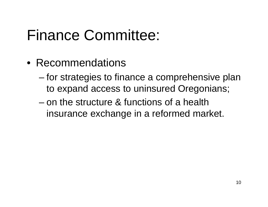### Finance Committee:

- Recommendations
	- for strategies to finance a comprehensive plan to expand access to uninsured Oregonians;
	- on the structure & functions of a health insurance exchange in a reformed market.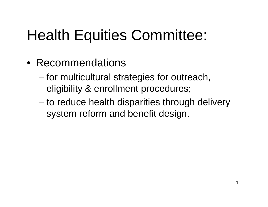### Health Equities Committee:

- Recommendations
	- for multicultural strategies for outreach, eligibility & enrollment procedures;
	- to reduce health disparities through delivery system reform and benefit design.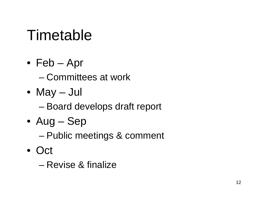### Timetable

• Feb – Apr

– Committees at work

- May Jul
	- Board develops draft report
- Aug Sep
	- Public meetings & comment
- Oct
	- Revise & finalize